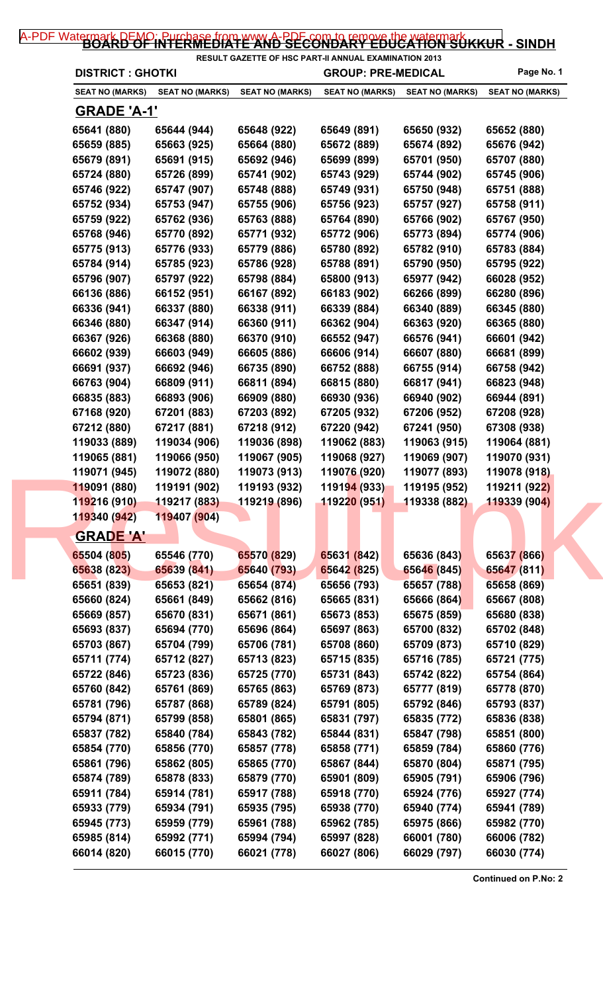## [A-PDF Watermark DEMO: Purchase from www.A-PDF.com to remove the watermark](http://www.a-pdf.com/?wm-demo) KKUR - SINDH

| <b>DISTRICT : GHOTKI</b> |                        | <b>GROUP: PRE-MEDICAL</b> |                           | <b>RESULT GAZETTE OF HSC PART-II ANNUAL EXAMINATION 2013</b> | Page No. 1             |
|--------------------------|------------------------|---------------------------|---------------------------|--------------------------------------------------------------|------------------------|
| <b>SEAT NO (MARKS)</b>   | <b>SEAT NO (MARKS)</b> | <b>SEAT NO (MARKS)</b>    | <b>SEAT NO (MARKS)</b>    | <b>SEAT NO (MARKS)</b>                                       | <b>SEAT NO (MARKS)</b> |
| <b>GRADE 'A-1'</b>       |                        |                           |                           |                                                              |                        |
| 65641 (880)              | 65644 (944)            | 65648 (922)               | 65649 (891)               | 65650 (932)                                                  | 65652 (880)            |
| 65659 (885)              | 65663 (925)            | 65664 (880)               | 65672 (889)               | 65674 (892)                                                  | 65676 (942)            |
| 65679 (891)              | 65691 (915)            | 65692 (946)               | 65699 (899)               | 65701 (950)                                                  | 65707 (880)            |
| 65724 (880)              | 65726 (899)            | 65741 (902)               | 65743 (929)               | 65744 (902)                                                  | 65745 (906)            |
| 65746 (922)              | 65747 (907)            | 65748 (888)               | 65749 (931)               | 65750 (948)                                                  | 65751 (888)            |
| 65752 (934)              | 65753 (947)            | 65755 (906)               | 65756 (923)               | 65757 (927)                                                  | 65758 (911)            |
| 65759 (922)              | 65762 (936)            | 65763 (888)               | 65764 (890)               | 65766 (902)                                                  | 65767 (950)            |
| 65768 (946)              | 65770 (892)            | 65771 (932)               | 65772 (906)               | 65773 (894)                                                  | 65774 (906)            |
| 65775 (913)              | 65776 (933)            | 65779 (886)               | 65780 (892)               | 65782 (910)                                                  | 65783 (884)            |
| 65784 (914)              | 65785 (923)            | 65786 (928)               | 65788 (891)               | 65790 (950)                                                  | 65795 (922)            |
| 65796 (907)              | 65797 (922)            | 65798 (884)               | 65800 (913)               | 65977 (942)                                                  | 66028 (952)            |
| 66136 (886)              | 66152 (951)            | 66167 (892)               | 66183 (902)               | 66266 (899)                                                  | 66280 (896)            |
| 66336 (941)              | 66337 (880)            | 66338 (911)               | 66339 (884)               | 66340 (889)                                                  | 66345 (880)            |
| 66346 (880)              | 66347 (914)            | 66360 (911)               | 66362 (904)               | 66363 (920)                                                  | 66365 (880)            |
| 66367 (926)              | 66368 (880)            | 66370 (910)               | 66552 (947)               | 66576 (941)                                                  | 66601 (942)            |
| 66602 (939)              | 66603 (949)            | 66605 (886)               | 66606 (914)               | 66607 (880)                                                  | 66681 (899)            |
| 66691 (937)              | 66692 (946)            | 66735 (890)               | 66752 (888)               | 66755 (914)                                                  | 66758 (942)            |
| 66763 (904)              | 66809 (911)            | 66811 (894)               | 66815 (880)               | 66817 (941)                                                  | 66823 (948)            |
| 66835 (883)              | 66893 (906)            | 66909 (880)               | 66930 (936)               | 66940 (902)                                                  | 66944 (891)            |
| 67168 (920)              | 67201 (883)            | 67203 (892)               | 67205 (932)               | 67206 (952)                                                  | 67208 (928)            |
| 67212 (880)              | 67217 (881)            | 67218 (912)               | 67220 (942)               | 67241 (950)                                                  | 67308 (938)            |
| 119033 (889)             | 119034 (906)           | 119036 (898)              | 119062 (883)              | 119063 (915)                                                 | 119064 (881)           |
| 119065 (881)             | 119066 (950)           | 119067 (905)              | 119068 (927)              | 119069 (907)                                                 | 119070 (931)           |
| 119071 (945)             | 119072 (880)           | 119073 (913)              | 119076 (920)              | 119077 (893)                                                 | 119078 (918)           |
| 119091 (880)             | 119191 (902)           | 119193 (932)              | 119194 (933) 119195 (952) |                                                              | 119211 (922)           |
| 119216 (910)             | 119217 (883)           | 119219 (896)              | 119220 (951)              | 119338 (882)                                                 | 119339 (904)           |
| 119340 (942)             | 119407 (904)           |                           |                           |                                                              |                        |
| <b>GRADE 'A'</b>         |                        |                           |                           |                                                              |                        |
| 65504 (805)              | 65546 (770)            | 65570 (829)               | 65631 (842)               | 65636 (843)                                                  | 65637 (866)            |
| 65638 (823)              | 65639 (841)            | 65640 (793)               | 65642 (825)               | 65646 (845)                                                  | 65647 (811)            |
| 65651 (839)              | 65653 (821)            | 65654 (874)               | 65656 (793)               | 65657 (788)                                                  | 65658 (869)            |
| 65660 (824)              | 65661 (849)            | 65662 (816)               | 65665 (831)               | 65666 (864)                                                  | 65667 (808)            |
| 65669 (857)              | 65670 (831)            | 65671 (861)               | 65673 (853)               | 65675 (859)                                                  | 65680 (838)            |
| 65693 (837)              | 65694 (770)            | 65696 (864)               | 65697 (863)               | 65700 (832)                                                  | 65702 (848)            |
| 65703 (867)              | 65704 (799)            | 65706 (781)               | 65708 (860)               | 65709 (873)                                                  | 65710 (829)            |
| 65711 (774)              | 65712 (827)            | 65713 (823)               | 65715 (835)               | 65716 (785)                                                  | 65721 (775)            |
| 65722 (846)              | 65723 (836)            | 65725 (770)               | 65731 (843)               | 65742 (822)                                                  | 65754 (864)            |
| 65760 (842)              | 65761 (869)            | 65765 (863)               | 65769 (873)               | 65777 (819)                                                  | 65778 (870)            |
| 65781 (796)              | 65787 (868)            | 65789 (824)               | 65791 (805)               | 65792 (846)                                                  | 65793 (837)            |
| 65794 (871)              | 65799 (858)            | 65801 (865)               | 65831 (797)               | 65835 (772)                                                  | 65836 (838)            |
| 65837 (782)              | 65840 (784)            | 65843 (782)               | 65844 (831)               | 65847 (798)                                                  | 65851 (800)            |
| 65854 (770)              | 65856 (770)            | 65857 (778)               | 65858 (771)               | 65859 (784)                                                  | 65860 (776)            |
| 65861 (796)              | 65862 (805)            | 65865 (770)               | 65867 (844)               | 65870 (804)                                                  | 65871 (795)            |
| 65874 (789)              | 65878 (833)            | 65879 (770)               | 65901 (809)               | 65905 (791)                                                  | 65906 (796)            |
| 65911 (784)              | 65914 (781)            | 65917 (788)               | 65918 (770)               | 65924 (776)                                                  | 65927 (774)            |
| 65933 (779)              | 65934 (791)            | 65935 (795)               | 65938 (770)               | 65940 (774)                                                  | 65941 (789)            |
| 65945 (773)              | 65959 (779)            | 65961 (788)               | 65962 (785)               | 65975 (866)                                                  | 65982 (770)            |
| 65985 (814)              | 65992 (771)            | 65994 (794)               | 65997 (828)               | 66001 (780)                                                  | 66006 (782)            |
| 66014 (820)              | 66015 (770)            | 66021 (778)               | 66027 (806)               | 66029 (797)                                                  | 66030 (774)            |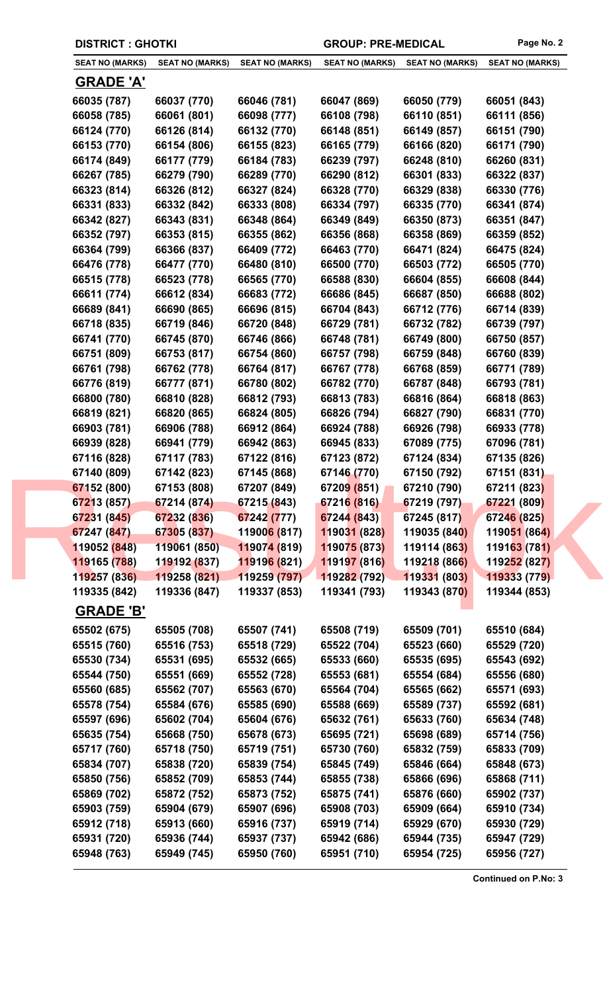|                                  | <b>DISTRICT: GHOTKI</b> |                             |                        | <b>GROUP: PRE-MEDICAL</b> | Page No. 2             |
|----------------------------------|-------------------------|-----------------------------|------------------------|---------------------------|------------------------|
| <b>SEAT NO (MARKS)</b>           | <b>SEAT NO (MARKS)</b>  | <b>SEAT NO (MARKS)</b>      | <b>SEAT NO (MARKS)</b> | <b>SEAT NO (MARKS)</b>    | <b>SEAT NO (MARKS)</b> |
| <b>GRADE 'A'</b>                 |                         |                             |                        |                           |                        |
| 66035 (787)                      | 66037 (770)             | 66046 (781)                 | 66047 (869)            | 66050 (779)               | 66051 (843)            |
| 66058 (785)                      | 66061 (801)             | 66098 (777)                 | 66108 (798)            | 66110 (851)               | 66111 (856)            |
| 66124 (770)                      | 66126 (814)             | 66132 (770)                 | 66148 (851)            | 66149 (857)               | 66151 (790)            |
| 66153 (770)                      | 66154 (806)             | 66155 (823)                 | 66165 (779)            | 66166 (820)               | 66171 (790)            |
| 66174 (849)                      | 66177 (779)             | 66184 (783)                 | 66239 (797)            | 66248 (810)               | 66260 (831)            |
| 66267 (785)                      | 66279 (790)             | 66289 (770)                 | 66290 (812)            | 66301 (833)               | 66322 (837)            |
| 66323 (814)                      | 66326 (812)             | 66327 (824)                 | 66328 (770)            | 66329 (838)               | 66330 (776)            |
| 66331 (833)                      | 66332 (842)             | 66333 (808)                 | 66334 (797)            | 66335 (770)               | 66341 (874)            |
| 66342 (827)                      | 66343 (831)             | 66348 (864)                 | 66349 (849)            | 66350 (873)               | 66351 (847)            |
| 66352 (797)                      | 66353 (815)             | 66355 (862)                 | 66356 (868)            | 66358 (869)               | 66359 (852)            |
| 66364 (799)                      | 66366 (837)             | 66409 (772)                 | 66463 (770)            | 66471 (824)               | 66475 (824)            |
| 66476 (778)                      | 66477 (770)             | 66480 (810)                 | 66500 (770)            | 66503 (772)               | 66505 (770)            |
| 66515 (778)                      | 66523 (778)             | 66565 (770)                 | 66588 (830)            | 66604 (855)               | 66608 (844)            |
| 66611 (774)                      | 66612 (834)             | 66683 (772)                 | 66686 (845)            | 66687 (850)               | 66688 (802)            |
| 66689 (841)                      | 66690 (865)             | 66696 (815)                 | 66704 (843)            | 66712 (776)               | 66714 (839)            |
| 66718 (835)                      | 66719 (846)             | 66720 (848)                 | 66729 (781)            | 66732 (782)               | 66739 (797)            |
| 66741 (770)                      | 66745 (870)             | 66746 (866)                 | 66748 (781)            | 66749 (800)               | 66750 (857)            |
| 66751 (809)                      | 66753 (817)             | 66754 (860)                 | 66757 (798)            | 66759 (848)               | 66760 (839)            |
| 66761 (798)                      | 66762 (778)             | 66764 (817)                 | 66767 (778)            | 66768 (859)               | 66771 (789)            |
| 66776 (819)                      | 66777 (871)             | 66780 (802)                 | 66782 (770)            | 66787 (848)               | 66793 (781)            |
| 66800 (780)                      | 66810 (828)             | 66812 (793)                 | 66813 (783)            | 66816 (864)               | 66818 (863)            |
| 66819 (821)                      | 66820 (865)             | 66824 (805)                 | 66826 (794)            | 66827 (790)               | 66831 (770)            |
| 66903 (781)                      | 66906 (788)             | 66912 (864)                 | 66924 (788)            | 66926 (798)               | 66933 (778)            |
| 66939 (828)                      | 66941 (779)             | 66942 (863)                 | 66945 (833)            | 67089 (775)               | 67096 (781)            |
| 67116 (828)                      | 67117 (783)             | 67122 (816)                 | 67123 (872)            | 67124 (834)               | 67135 (826)            |
| 67140 (809)                      | 67142 (823)             | 67145 (868)                 | 67146 (770)            | 67150 (792)               | 67151 (831)            |
| 67152 (800)                      | 67153 (808)             | 67207 (849)                 | 67209 (851)            | 67210 (790)               | 67211 (823)            |
| 67213 (857)                      | 67214 (874)             | 67215 (843)                 | 67216 (816)            | 67219 (797)               | 67221 (809)            |
| 67231 (845)                      | 67232 (836)             | 67242 (777)                 | 67244 (843)            | 67245 (817)               | 67246 (825)            |
| 67247 (847)                      | 67305 (837)             | 11900 <mark>6 (</mark> 817) | 119031 (828)           | 119035 (840)              | 119051 (864)           |
| 119052 (848)                     | 119061 (850)            | 119074 (819)                | 119075 (873)           | 119114 (863)              | 119163 (781)           |
| 119165 (788)                     | 119192 (837)            | 11919 <mark>6 (8</mark> 21) | 119197 (816)           | 119218 (866)              | 119252 (827)           |
| 119257 (836)                     | 119258 (821)            | 119259 (797)                | 119282 (792)           | 119331 (803)              | 119333 (779)           |
| 119335 (842)<br><b>GRADE 'B'</b> | 119336 (847)            | 119337 (853)                | 119341 (793)           | 119343 (870)              | 119344 (853)           |
| 65502 (675)                      | 65505 (708)             | 65507 (741)                 | 65508 (719)            | 65509 (701)               | 65510 (684)            |
| 65515 (760)                      | 65516 (753)             | 65518 (729)                 | 65522 (704)            | 65523 (660)               | 65529 (720)            |
| 65530 (734)                      | 65531 (695)             | 65532 (665)                 | 65533 (660)            | 65535 (695)               | 65543 (692)            |
| 65544 (750)                      | 65551 (669)             | 65552 (728)                 | 65553 (681)            | 65554 (684)               | 65556 (680)            |
| 65560 (685)                      | 65562 (707)             | 65563 (670)                 | 65564 (704)            | 65565 (662)               | 65571 (693)            |
| 65578 (754)                      | 65584 (676)             | 65585 (690)                 | 65588 (669)            | 65589 (737)               | 65592 (681)            |
| 65597 (696)                      | 65602 (704)             | 65604 (676)                 | 65632 (761)            | 65633 (760)               | 65634 (748)            |
| 65635 (754)                      | 65668 (750)             | 65678 (673)                 | 65695 (721)            | 65698 (689)               | 65714 (756)            |
| 65717 (760)                      | 65718 (750)             | 65719 (751)                 | 65730 (760)            | 65832 (759)               | 65833 (709)            |
| 65834 (707)                      | 65838 (720)             | 65839 (754)                 | 65845 (749)            | 65846 (664)               | 65848 (673)            |
| 65850 (756)                      | 65852 (709)             | 65853 (744)                 | 65855 (738)            | 65866 (696)               | 65868 (711)            |
| 65869 (702)                      | 65872 (752)             | 65873 (752)                 | 65875 (741)            | 65876 (660)               | 65902 (737)            |
| 65903 (759)                      | 65904 (679)             | 65907 (696)                 | 65908 (703)            | 65909 (664)               | 65910 (734)            |
| 65912 (718)                      | 65913 (660)             | 65916 (737)                 | 65919 (714)            | 65929 (670)               | 65930 (729)            |
| 65931 (720)                      | 65936 (744)             | 65937 (737)                 | 65942 (686)            | 65944 (735)               | 65947 (729)            |
| 65948 (763)                      | 65949 (745)             | 65950 (760)                 | 65951 (710)            | 65954 (725)               | 65956 (727)            |
|                                  |                         |                             |                        |                           |                        |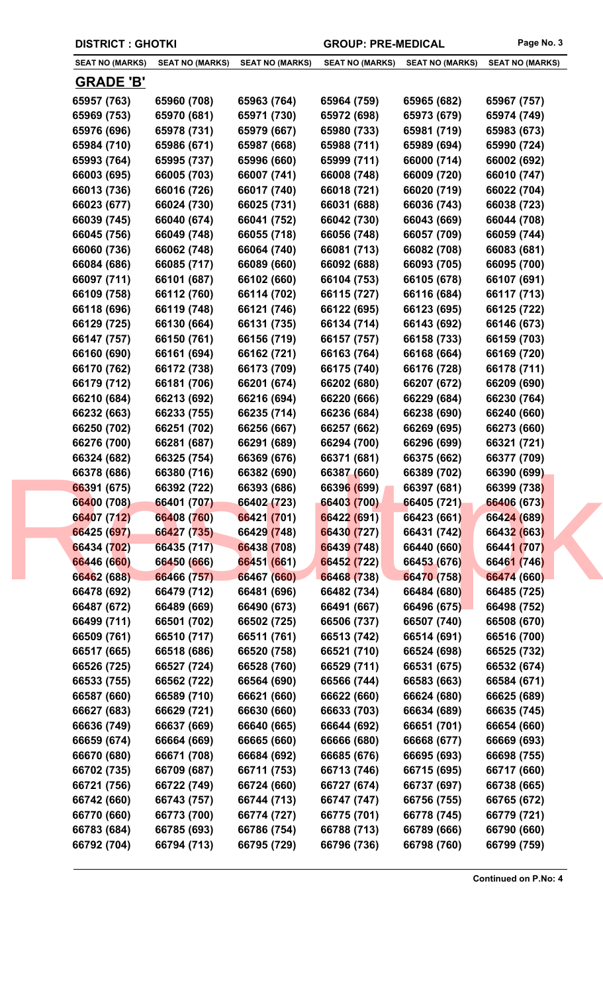|                        | <b>DISTRICT: GHOTKI</b> |                        |                        | <b>GROUP: PRE-MEDICAL</b> |                        |
|------------------------|-------------------------|------------------------|------------------------|---------------------------|------------------------|
| <b>SEAT NO (MARKS)</b> | <b>SEAT NO (MARKS)</b>  | <b>SEAT NO (MARKS)</b> | <b>SEAT NO (MARKS)</b> | <b>SEAT NO (MARKS)</b>    | <b>SEAT NO (MARKS)</b> |
| <b>GRADE 'B'</b>       |                         |                        |                        |                           |                        |
| 65957 (763)            | 65960 (708)             | 65963 (764)            | 65964 (759)            | 65965 (682)               | 65967 (757)            |
| 65969 (753)            | 65970 (681)             | 65971 (730)            | 65972 (698)            | 65973 (679)               | 65974 (749)            |
| 65976 (696)            | 65978 (731)             | 65979 (667)            | 65980 (733)            | 65981 (719)               | 65983 (673)            |
| 65984 (710)            | 65986 (671)             | 65987 (668)            | 65988 (711)            | 65989 (694)               | 65990 (724)            |
| 65993 (764)            | 65995 (737)             | 65996 (660)            | 65999 (711)            | 66000 (714)               | 66002 (692)            |
| 66003 (695)            | 66005 (703)             | 66007 (741)            | 66008 (748)            | 66009 (720)               | 66010 (747)            |
| 66013 (736)            | 66016 (726)             | 66017 (740)            | 66018 (721)            | 66020 (719)               | 66022 (704)            |
| 66023 (677)            | 66024 (730)             | 66025 (731)            | 66031 (688)            | 66036 (743)               | 66038 (723)            |
| 66039 (745)            | 66040 (674)             | 66041 (752)            | 66042 (730)            | 66043 (669)               | 66044 (708)            |
| 66045 (756)            | 66049 (748)             | 66055 (718)            | 66056 (748)            | 66057 (709)               | 66059 (744)            |
| 66060 (736)            | 66062 (748)             | 66064 (740)            | 66081 (713)            | 66082 (708)               | 66083 (681)            |
| 66084 (686)            | 66085 (717)             | 66089 (660)            | 66092 (688)            | 66093 (705)               | 66095 (700)            |
| 66097 (711)            | 66101 (687)             | 66102 (660)            | 66104 (753)            | 66105 (678)               | 66107 (691)            |
| 66109 (758)            | 66112 (760)             | 66114 (702)            | 66115 (727)            | 66116 (684)               | 66117 (713)            |
| 66118 (696)            | 66119 (748)             | 66121 (746)            | 66122 (695)            | 66123 (695)               | 66125 (722)            |
| 66129 (725)            | 66130 (664)             | 66131 (735)            | 66134 (714)            | 66143 (692)               | 66146 (673)            |
| 66147 (757)            | 66150 (761)             | 66156 (719)            | 66157 (757)            | 66158 (733)               | 66159 (703)            |
| 66160 (690)            | 66161 (694)             | 66162 (721)            | 66163 (764)            | 66168 (664)               | 66169 (720)            |
| 66170 (762)            | 66172 (738)             | 66173 (709)            | 66175 (740)            | 66176 (728)               | 66178 (711)            |
|                        |                         |                        | 66202 (680)            | 66207 (672)               |                        |
| 66179 (712)            | 66181 (706)             | 66201 (674)            |                        |                           | 66209 (690)            |
| 66210 (684)            | 66213 (692)             | 66216 (694)            | 66220 (666)            | 66229 (684)               | 66230 (764)            |
| 66232 (663)            | 66233 (755)             | 66235 (714)            | 66236 (684)            | 66238 (690)               | 66240 (660)            |
| 66250 (702)            | 66251 (702)             | 66256 (667)            | 66257 (662)            | 66269 (695)               | 66273 (660)            |
| 66276 (700)            | 66281 (687)             | 66291 (689)            | 66294 (700)            | 66296 (699)               | 66321 (721)            |
| 66324 (682)            | 66325 (754)             | 66369 (676)            | 66371 (681)            | 66375 (662)               | 66377 (709)            |
| 66378 (686)            | 66380 (716)             | 66382 (690)            | 66387 (660)            | 66389 (702)               | 66390 (699)            |
| 66391 (675)            | 66392 (722)             | 66393 (686)            | 66396 (699)            | 66397 (681)               | 66399 (738)            |
| 66400 (708)            | 66401 (707)             | 66402 (723)            | 66403 (700)            | 66405 (721)               | 66406 (673)            |
| 66407 (712)            | 66408 (760)             | 66421 (701)            | 66422 (691)            | 66423 (661)               | 66424 (689)            |
| 66425 (697)            | 66427 (735)             | 66429 (748)            | 66430 (727)            | 66431 (742)               | 66432 (663)            |
| 66434 (702)            | 66435 (717)             | 66438 (708)            | 66439 (748)            | 66440 (660)               | 66441 (707)            |
| 66446 (660)            | 66450 (666)             | 66451 (661)            | 66452 (722)            | 66453 (676)               | 66461 (746)            |
| 66462 (688)            | 66466 (757)             | 66467 (660)            | 66468 (738)            | 66470 (758)               | 66474 (660)            |
| 66478 (692)            | 66479 (712)             | 66481 (696)            | 66482 (734)            | 66484 (680)               | 66485 (725)            |
| 66487 (672)            | 66489 (669)             | 66490 (673)            | 66491 (667)            | 66496 (675)               | 66498 (752)            |
| 66499 (711)            | 66501 (702)             | 66502 (725)            | 66506 (737)            | 66507 (740)               | 66508 (670)            |
| 66509 (761)            | 66510 (717)             | 66511 (761)            | 66513 (742)            | 66514 (691)               | 66516 (700)            |
| 66517 (665)            | 66518 (686)             | 66520 (758)            | 66521 (710)            | 66524 (698)               | 66525 (732)            |
| 66526 (725)            | 66527 (724)             | 66528 (760)            | 66529 (711)            | 66531 (675)               | 66532 (674)            |
| 66533 (755)            | 66562 (722)             | 66564 (690)            | 66566 (744)            | 66583 (663)               | 66584 (671)            |
| 66587 (660)            | 66589 (710)             | 66621 (660)            | 66622 (660)            | 66624 (680)               | 66625 (689)            |
| 66627 (683)            | 66629 (721)             | 66630 (660)            | 66633 (703)            | 66634 (689)               | 66635 (745)            |
| 66636 (749)            | 66637 (669)             | 66640 (665)            | 66644 (692)            | 66651 (701)               | 66654 (660)            |
| 66659 (674)            | 66664 (669)             | 66665 (660)            | 66666 (680)            | 66668 (677)               | 66669 (693)            |
| 66670 (680)            | 66671 (708)             | 66684 (692)            | 66685 (676)            | 66695 (693)               | 66698 (755)            |
| 66702 (735)            | 66709 (687)             | 66711 (753)            | 66713 (746)            | 66715 (695)               | 66717 (660)            |
| 66721 (756)            | 66722 (749)             | 66724 (660)            | 66727 (674)            | 66737 (697)               | 66738 (665)            |
| 66742 (660)            | 66743 (757)             | 66744 (713)            | 66747 (747)            | 66756 (755)               | 66765 (672)            |
| 66770 (660)            | 66773 (700)             | 66774 (727)            | 66775 (701)            | 66778 (745)               | 66779 (721)            |
|                        |                         |                        |                        |                           |                        |
| 66783 (684)            | 66785 (693)             | 66786 (754)            | 66788 (713)            | 66789 (666)               | 66790 (660)            |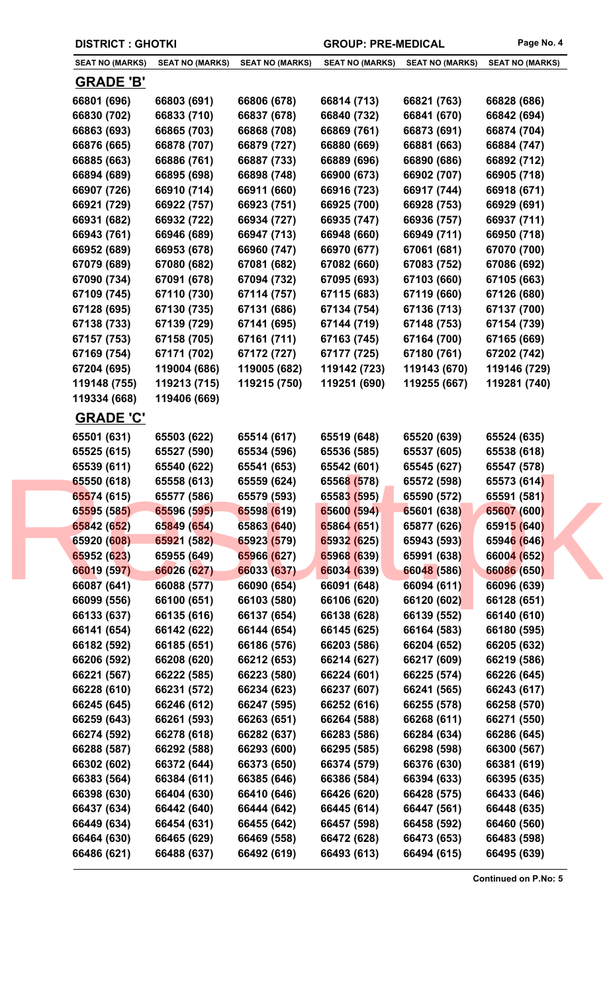|              | <b>DISTRICT : GHOTKI</b>                         |                        |                        | <b>GROUP: PRE-MEDICAL</b> |                        |
|--------------|--------------------------------------------------|------------------------|------------------------|---------------------------|------------------------|
|              | <b>SEAT NO (MARKS)</b><br><b>SEAT NO (MARKS)</b> | <b>SEAT NO (MARKS)</b> | <b>SEAT NO (MARKS)</b> | <b>SEAT NO (MARKS)</b>    | <b>SEAT NO (MARKS)</b> |
|              | <b>GRADE 'B'</b>                                 |                        |                        |                           |                        |
| 66801 (696)  | 66803 (691)                                      | 66806 (678)            | 66814 (713)            | 66821 (763)               | 66828 (686)            |
| 66830 (702)  | 66833 (710)                                      | 66837 (678)            | 66840 (732)            | 66841 (670)               | 66842 (694)            |
| 66863 (693)  | 66865 (703)                                      | 66868 (708)            | 66869 (761)            | 66873 (691)               | 66874 (704)            |
| 66876 (665)  | 66878 (707)                                      | 66879 (727)            | 66880 (669)            | 66881 (663)               | 66884 (747)            |
| 66885 (663)  | 66886 (761)                                      | 66887 (733)            | 66889 (696)            | 66890 (686)               | 66892 (712)            |
| 66894 (689)  | 66895 (698)                                      | 66898 (748)            | 66900 (673)            | 66902 (707)               | 66905 (718)            |
| 66907 (726)  | 66910 (714)                                      | 66911 (660)            | 66916 (723)            | 66917 (744)               | 66918 (671)            |
| 66921 (729)  | 66922 (757)                                      | 66923 (751)            | 66925 (700)            | 66928 (753)               | 66929 (691)            |
| 66931 (682)  | 66932 (722)                                      | 66934 (727)            | 66935 (747)            | 66936 (757)               | 66937 (711)            |
| 66943 (761)  | 66946 (689)                                      | 66947 (713)            | 66948 (660)            | 66949 (711)               | 66950 (718)            |
| 66952 (689)  | 66953 (678)                                      | 66960 (747)            | 66970 (677)            | 67061 (681)               | 67070 (700)            |
| 67079 (689)  | 67080 (682)                                      | 67081 (682)            | 67082 (660)            | 67083 (752)               | 67086 (692)            |
| 67090 (734)  | 67091 (678)                                      | 67094 (732)            | 67095 (693)            | 67103 (660)               | 67105 (663)            |
| 67109 (745)  | 67110 (730)                                      | 67114 (757)            | 67115 (683)            | 67119 (660)               | 67126 (680)            |
| 67128 (695)  | 67130 (735)                                      | 67131 (686)            | 67134 (754)            | 67136 (713)               | 67137 (700)            |
| 67138 (733)  | 67139 (729)                                      | 67141 (695)            | 67144 (719)            | 67148 (753)               | 67154 (739)            |
| 67157 (753)  | 67158 (705)                                      | 67161 (711)            | 67163 (745)            | 67164 (700)               | 67165 (669)            |
| 67169 (754)  | 67171 (702)                                      | 67172 (727)            | 67177 (725)            | 67180 (761)               | 67202 (742)            |
| 67204 (695)  | 119004 (686)                                     | 119005 (682)           | 119142 (723)           | 119143 (670)              | 119146 (729)           |
| 119148 (755) | 119213 (715)                                     | 119215 (750)           | 119251 (690)           | 119255 (667)              | 119281 (740)           |
| 119334 (668) | 119406 (669)                                     |                        |                        |                           |                        |
|              | <b>GRADE 'C'</b>                                 |                        |                        |                           |                        |
| 65501 (631)  | 65503 (622)                                      | 65514 (617)            | 65519 (648)            | 65520 (639)               | 65524 (635)            |
| 65525 (615)  | 65527 (590)                                      | 65534 (596)            | 65536 (585)            | 65537 (605)               | 65538 (618)            |
| 65539 (611)  | 65540 (622)                                      | 65541 (653)            | 65542 (601)            | 65545 (627)               | 65547 (578)            |
| 65550 (618)  | 65558 (613)                                      | 65559 (624)            | 65568 (578)            | 65572 (598)               | 65573 (614)            |
| 65574 (615)  | 65577 (586)                                      | 65579 (593)            | 65583 (595)            | 65590 (572)               | 65591 (581)            |
| 65595 (585)  | 65596 (595)                                      | 65598 (619)            | 65600 (594)            | 65601 (638)               | 65607 (600)            |
| 65842 (652)  | 65849 (654)                                      | 65863 (640)            | 65864 (651)            | 65877 (626)               | 65915 (640)            |
| 65920 (608)  | 65921 (582)                                      | 65923 (579)            | 65932 (625)            | 65943 (593)               | 65946 (646)            |
| 65952 (623)  | 65955 (649)                                      | 65966 (627)            | 65968 (639)            | 65991 (638)               | 66004 (652)            |
| 66019 (597)  | 66026 (627)                                      | 66033 (637)            | 66034 (639)            | 66048 (586)               | 66086 (650)            |
| 66087 (641)  | 66088 (577)                                      | 66090 (654)            | 66091 (648)            | 66094 (611)               | 66096 (639)            |
| 66099 (556)  | 66100 (651)                                      | 66103 (580)            | 66106 (620)            | 66120 (602)               | 66128 (651)            |
| 66133 (637)  | 66135 (616)                                      | 66137 (654)            | 66138 (628)            | 66139 (552)               | 66140 (610)            |
| 66141 (654)  | 66142 (622)                                      | 66144 (654)            | 66145 (625)            | 66164 (583)               | 66180 (595)            |
| 66182 (592)  | 66185 (651)                                      | 66186 (576)            | 66203 (586)            | 66204 (652)               | 66205 (632)            |
| 66206 (592)  | 66208 (620)                                      | 66212 (653)            | 66214 (627)            | 66217 (609)               | 66219 (586)            |
| 66221 (567)  | 66222 (585)                                      | 66223 (580)            | 66224 (601)            | 66225 (574)               | 66226 (645)            |
| 66228 (610)  | 66231 (572)                                      | 66234 (623)            | 66237 (607)            | 66241 (565)               | 66243 (617)            |
| 66245 (645)  | 66246 (612)                                      | 66247 (595)            | 66252 (616)            | 66255 (578)               | 66258 (570)            |
| 66259 (643)  | 66261 (593)                                      | 66263 (651)            | 66264 (588)            | 66268 (611)               | 66271 (550)            |
| 66274 (592)  | 66278 (618)                                      | 66282 (637)            | 66283 (586)            | 66284 (634)               | 66286 (645)            |
| 66288 (587)  | 66292 (588)                                      | 66293 (600)            | 66295 (585)            | 66298 (598)               | 66300 (567)            |
| 66302 (602)  | 66372 (644)                                      | 66373 (650)            | 66374 (579)            | 66376 (630)               | 66381 (619)            |
| 66383 (564)  | 66384 (611)                                      | 66385 (646)            | 66386 (584)            | 66394 (633)               | 66395 (635)            |
| 66398 (630)  | 66404 (630)                                      | 66410 (646)            | 66426 (620)            | 66428 (575)               | 66433 (646)            |
| 66437 (634)  | 66442 (640)                                      | 66444 (642)            | 66445 (614)            | 66447 (561)               | 66448 (635)            |
| 66449 (634)  | 66454 (631)                                      | 66455 (642)            | 66457 (598)            | 66458 (592)               | 66460 (560)            |
| 66464 (630)  | 66465 (629)                                      | 66469 (558)            | 66472 (628)            | 66473 (653)               | 66483 (598)            |
| 66486 (621)  | 66488 (637)                                      | 66492 (619)            | 66493 (613)            | 66494 (615)               | 66495 (639)            |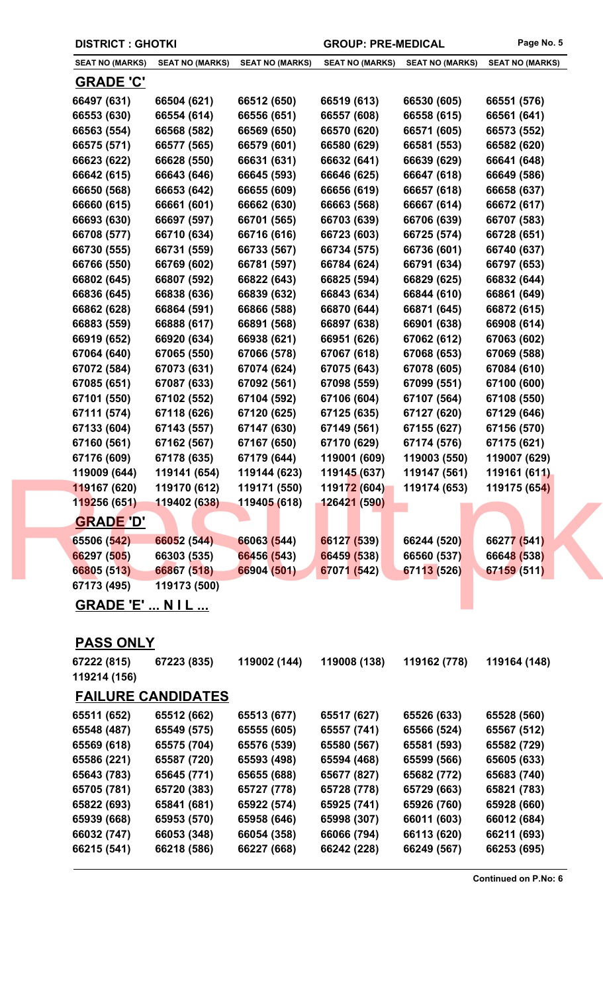| <b>DISTRICT : GHOTKI</b> |                        | <b>GROUP: PRE-MEDICAL</b> |                        | Page No. 5             |                        |
|--------------------------|------------------------|---------------------------|------------------------|------------------------|------------------------|
| <b>SEAT NO (MARKS)</b>   | <b>SEAT NO (MARKS)</b> | <b>SEAT NO (MARKS)</b>    | <b>SEAT NO (MARKS)</b> | <b>SEAT NO (MARKS)</b> | <b>SEAT NO (MARKS)</b> |
| <b>GRADE 'C'</b>         |                        |                           |                        |                        |                        |
| 66497 (631)              | 66504 (621)            | 66512 (650)               | 66519 (613)            | 66530 (605)            | 66551 (576)            |
| 66553 (630)              | 66554 (614)            | 66556 (651)               | 66557 (608)            | 66558 (615)            | 66561 (641)            |
| 66563 (554)              | 66568 (582)            | 66569 (650)               | 66570 (620)            | 66571 (605)            | 66573 (552)            |
| 66575 (571)              | 66577 (565)            | 66579 (601)               | 66580 (629)            | 66581 (553)            | 66582 (620)            |
| 66623 (622)              | 66628 (550)            | 66631 (631)               | 66632 (641)            | 66639 (629)            | 66641 (648)            |
| 66642 (615)              | 66643 (646)            | 66645 (593)               | 66646 (625)            | 66647 (618)            | 66649 (586)            |
| 66650 (568)              | 66653 (642)            | 66655 (609)               | 66656 (619)            | 66657 (618)            | 66658 (637)            |
| 66660 (615)              | 66661 (601)            | 66662 (630)               | 66663 (568)            | 66667 (614)            | 66672 (617)            |
| 66693 (630)              | 66697 (597)            | 66701 (565)               | 66703 (639)            | 66706 (639)            | 66707 (583)            |
| 66708 (577)              | 66710 (634)            | 66716 (616)               | 66723 (603)            | 66725 (574)            | 66728 (651)            |
| 66730 (555)              | 66731 (559)            | 66733 (567)               | 66734 (575)            | 66736 (601)            | 66740 (637)            |
| 66766 (550)              | 66769 (602)            | 66781 (597)               | 66784 (624)            | 66791 (634)            | 66797 (653)            |
| 66802 (645)              | 66807 (592)            | 66822 (643)               | 66825 (594)            | 66829 (625)            | 66832 (644)            |
| 66836 (645)              | 66838 (636)            | 66839 (632)               | 66843 (634)            | 66844 (610)            | 66861 (649)            |
| 66862 (628)              | 66864 (591)            | 66866 (588)               | 66870 (644)            | 66871 (645)            | 66872 (615)            |
| 66883 (559)              | 66888 (617)            | 66891 (568)               | 66897 (638)            | 66901 (638)            | 66908 (614)            |
| 66919 (652)              | 66920 (634)            | 66938 (621)               | 66951 (626)            | 67062 (612)            | 67063 (602)            |
| 67064 (640)              | 67065 (550)            | 67066 (578)               | 67067 (618)            | 67068 (653)            | 67069 (588)            |
| 67072 (584)              | 67073 (631)            | 67074 (624)               | 67075 (643)            | 67078 (605)            | 67084 (610)            |
| 67085 (651)              | 67087 (633)            | 67092 (561)               | 67098 (559)            | 67099 (551)            | 67100 (600)            |
| 67101 (550)              | 67102 (552)            | 67104 (592)               | 67106 (604)            | 67107 (564)            | 67108 (550)            |
| 67111 (574)              | 67118 (626)            | 67120 (625)               | 67125 (635)            | 67127 (620)            | 67129 (646)            |
| 67133 (604)              | 67143 (557)            | 67147 (630)               | 67149 (561)            | 67155 (627)            | 67156 (570)            |
| 67160 (561)              | 67162 (567)            | 67167 (650)               | 67170 (629)            | 67174 (576)            | 67175 (621)            |
| 67176 (609)              | 67178 (635)            | 67179 (644)               | 119001 (609)           | 119003 (550)           | 119007 (629)           |
| 119009 (644)             | 119141 (654)           | 119144 (623)              | 119145 (637)           | 119147 (561)           | 119161 (611)           |
| 119167 (620)             | 119170 (612)           | 119171 (550)              | 119172 (604)           | 119174 (653)           | 119175 (654)           |
| 119256 (651)             | 119402 (638)           | 119405 (618)              | 126421 (590)           |                        |                        |
| <b>GRADE 'D'</b>         |                        |                           |                        |                        |                        |
| 65506 (542)              | 66052 (544)            | 66063 (544)               | 66127 (539)            | 66244 (520)            | 66277 (541)            |
| 66297 (505)              | 66303 (535)            | 66456 (543)               | 66459 (538)            | 66560 (537)            | 66648 (538)            |
| 66805 (513)              | 66867 (518)            | 66904 (501)               | 67071 (542)            | 67113 (526)            | 67159 (511)            |
| 67173 (495)              | 119173 (500)           |                           |                        |                        |                        |
| <b>GRADE 'F'</b>         | <b>NII</b>             |                           |                        |                        |                        |

**GRADE 'E' ... N I L ...**

## **PASS ONLY**

| 67222 (815)  | 67223 (835)               | 119002 (144) | 119008 (138) | 119162 (778) | 119164 (148) |
|--------------|---------------------------|--------------|--------------|--------------|--------------|
| 119214 (156) |                           |              |              |              |              |
|              | <b>FAILURE CANDIDATES</b> |              |              |              |              |
| 65511 (652)  | 65512 (662)               | 65513 (677)  | 65517 (627)  | 65526 (633)  | 65528 (560)  |
| 65548 (487)  | 65549 (575)               | 65555 (605)  | 65557 (741)  | 65566 (524)  | 65567 (512)  |
| 65569 (618)  | 65575 (704)               | 65576 (539)  | 65580 (567)  | 65581 (593)  | 65582 (729)  |
| 65586 (221)  | 65587 (720)               | 65593 (498)  | 65594 (468)  | 65599 (566)  | 65605 (633)  |
| 65643 (783)  | 65645 (771)               | 65655 (688)  | 65677 (827)  | 65682 (772)  | 65683 (740)  |
| 65705 (781)  | 65720 (383)               | 65727 (778)  | 65728 (778)  | 65729 (663)  | 65821 (783)  |
| 65822 (693)  | 65841 (681)               | 65922 (574)  | 65925 (741)  | 65926 (760)  | 65928 (660)  |
| 65939 (668)  | 65953 (570)               | 65958 (646)  | 65998 (307)  | 66011 (603)  | 66012 (684)  |
| 66032 (747)  | 66053 (348)               | 66054 (358)  | 66066 (794)  | 66113 (620)  | 66211 (693)  |
| 66215 (541)  | 66218 (586)               | 66227 (668)  | 66242 (228)  | 66249 (567)  | 66253 (695)  |
|              |                           |              |              |              |              |